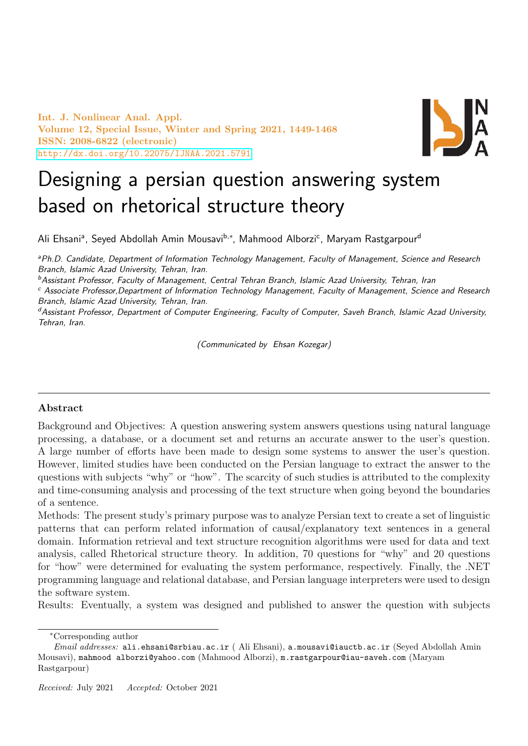Int. J. Nonlinear Anal. Appl. Volume 12, Special Issue, Winter and Spring 2021, 1449-1468 ISSN: 2008-6822 (electronic) <http://dx.doi.org/10.22075/IJNAA.2021.5791>



# Designing a persian question answering system based on rhetorical structure theory

Ali Ehsaniª, Seyed Abdollah Amin Mousavi<sup>b,∗</sup>, Mahmood Alborzi<sup>c</sup>, Maryam Rastgarpour<sup>d</sup>

aPh.D. Candidate, Department of Information Technology Management, Faculty of Management, Science and Research Branch, Islamic Azad University, Tehran, Iran.

<sup>b</sup>Assistant Professor, Faculty of Management, Central Tehran Branch, Islamic Azad University, Tehran, Iran

<sup>c</sup> Associate Professor,Department of Information Technology Management, Faculty of Management, Science and Research Branch, Islamic Azad University, Tehran, Iran.

<sup>d</sup>Assistant Professor, Department of Computer Engineering, Faculty of Computer, Saveh Branch, Islamic Azad University, Tehran, Iran.

(Communicated by Ehsan Kozegar)

## Abstract

Background and Objectives: A question answering system answers questions using natural language processing, a database, or a document set and returns an accurate answer to the user's question. A large number of efforts have been made to design some systems to answer the user's question. However, limited studies have been conducted on the Persian language to extract the answer to the questions with subjects "why" or "how". The scarcity of such studies is attributed to the complexity and time-consuming analysis and processing of the text structure when going beyond the boundaries of a sentence.

Methods: The present study's primary purpose was to analyze Persian text to create a set of linguistic patterns that can perform related information of causal/explanatory text sentences in a general domain. Information retrieval and text structure recognition algorithms were used for data and text analysis, called Rhetorical structure theory. In addition, 70 questions for "why" and 20 questions for "how" were determined for evaluating the system performance, respectively. Finally, the .NET programming language and relational database, and Persian language interpreters were used to design the software system.

Results: Eventually, a system was designed and published to answer the question with subjects

<sup>∗</sup>Corresponding author

Email addresses: ali.ehsani@srbiau.ac.ir (Ali Ehsani), a.mousavi@iauctb.ac.ir (Seved Abdollah Amin Mousavi), mahmood alborzi@yahoo.com (Mahmood Alborzi), m.rastgarpour@iau-saveh.com (Maryam Rastgarpour)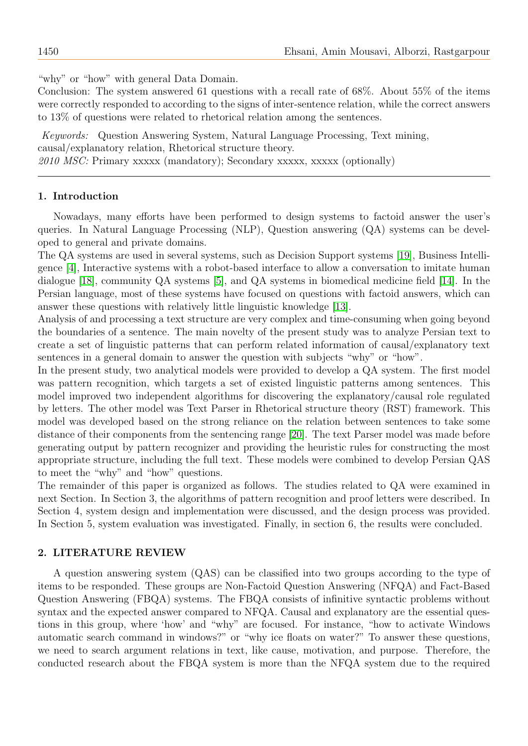"why" or "how" with general Data Domain.

Conclusion: The system answered 61 questions with a recall rate of 68%. About 55% of the items were correctly responded to according to the signs of inter-sentence relation, while the correct answers to 13% of questions were related to rhetorical relation among the sentences.

Keywords: Question Answering System, Natural Language Processing, Text mining, causal/explanatory relation, Rhetorical structure theory. 2010 MSC: Primary xxxxx (mandatory); Secondary xxxxx, xxxxx (optionally)

#### 1. Introduction

Nowadays, many efforts have been performed to design systems to factoid answer the user's queries. In Natural Language Processing (NLP), Question answering (QA) systems can be developed to general and private domains.

The QA systems are used in several systems, such as Decision Support systems [\[19\]](#page-19-0), Business Intelligence [\[4\]](#page-18-0), Interactive systems with a robot-based interface to allow a conversation to imitate human dialogue [\[18\]](#page-19-1), community QA systems [\[5\]](#page-18-1), and QA systems in biomedical medicine field [\[14\]](#page-19-2). In the Persian language, most of these systems have focused on questions with factoid answers, which can answer these questions with relatively little linguistic knowledge [\[13\]](#page-19-3).

Analysis of and processing a text structure are very complex and time-consuming when going beyond the boundaries of a sentence. The main novelty of the present study was to analyze Persian text to create a set of linguistic patterns that can perform related information of causal/explanatory text sentences in a general domain to answer the question with subjects "why" or "how".

In the present study, two analytical models were provided to develop a QA system. The first model was pattern recognition, which targets a set of existed linguistic patterns among sentences. This model improved two independent algorithms for discovering the explanatory/causal role regulated by letters. The other model was Text Parser in Rhetorical structure theory (RST) framework. This model was developed based on the strong reliance on the relation between sentences to take some distance of their components from the sentencing range [\[20\]](#page-19-4). The text Parser model was made before generating output by pattern recognizer and providing the heuristic rules for constructing the most appropriate structure, including the full text. These models were combined to develop Persian QAS to meet the "why" and "how" questions.

The remainder of this paper is organized as follows. The studies related to QA were examined in next Section. In Section 3, the algorithms of pattern recognition and proof letters were described. In Section 4, system design and implementation were discussed, and the design process was provided. In Section 5, system evaluation was investigated. Finally, in section 6, the results were concluded.

#### 2. LITERATURE REVIEW

A question answering system (QAS) can be classified into two groups according to the type of items to be responded. These groups are Non-Factoid Question Answering (NFQA) and Fact-Based Question Answering (FBQA) systems. The FBQA consists of infinitive syntactic problems without syntax and the expected answer compared to NFQA. Causal and explanatory are the essential questions in this group, where 'how' and "why" are focused. For instance, "how to activate Windows automatic search command in windows?" or "why ice floats on water?" To answer these questions, we need to search argument relations in text, like cause, motivation, and purpose. Therefore, the conducted research about the FBQA system is more than the NFQA system due to the required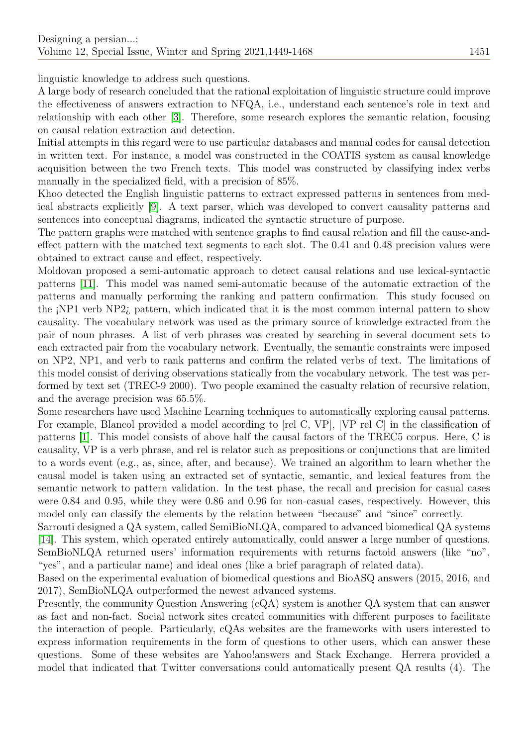linguistic knowledge to address such questions.

A large body of research concluded that the rational exploitation of linguistic structure could improve the effectiveness of answers extraction to NFQA, i.e., understand each sentence's role in text and relationship with each other [\[3\]](#page-18-2). Therefore, some research explores the semantic relation, focusing on causal relation extraction and detection.

Initial attempts in this regard were to use particular databases and manual codes for causal detection in written text. For instance, a model was constructed in the COATIS system as causal knowledge acquisition between the two French texts. This model was constructed by classifying index verbs manually in the specialized field, with a precision of 85%.

Khoo detected the English linguistic patterns to extract expressed patterns in sentences from medical abstracts explicitly [\[9\]](#page-18-3). A text parser, which was developed to convert causality patterns and sentences into conceptual diagrams, indicated the syntactic structure of purpose.

The pattern graphs were matched with sentence graphs to find causal relation and fill the cause-andeffect pattern with the matched text segments to each slot. The 0.41 and 0.48 precision values were obtained to extract cause and effect, respectively.

Moldovan proposed a semi-automatic approach to detect causal relations and use lexical-syntactic patterns [\[11\]](#page-18-4). This model was named semi-automatic because of the automatic extraction of the patterns and manually performing the ranking and pattern confirmation. This study focused on the ¡NP1 verb NP2¿ pattern, which indicated that it is the most common internal pattern to show causality. The vocabulary network was used as the primary source of knowledge extracted from the pair of noun phrases. A list of verb phrases was created by searching in several document sets to each extracted pair from the vocabulary network. Eventually, the semantic constraints were imposed on NP2, NP1, and verb to rank patterns and confirm the related verbs of text. The limitations of this model consist of deriving observations statically from the vocabulary network. The test was performed by text set (TREC-9 2000). Two people examined the casualty relation of recursive relation, and the average precision was 65.5%.

Some researchers have used Machine Learning techniques to automatically exploring causal patterns. For example, Blancol provided a model according to [rel C, VP], [VP rel C] in the classification of patterns [\[1\]](#page-18-5). This model consists of above half the causal factors of the TREC5 corpus. Here, C is causality, VP is a verb phrase, and rel is relator such as prepositions or conjunctions that are limited to a words event (e.g., as, since, after, and because). We trained an algorithm to learn whether the causal model is taken using an extracted set of syntactic, semantic, and lexical features from the semantic network to pattern validation. In the test phase, the recall and precision for casual cases were 0.84 and 0.95, while they were 0.86 and 0.96 for non-casual cases, respectively. However, this model only can classify the elements by the relation between "because" and "since" correctly.

Sarrouti designed a QA system, called SemiBioNLQA, compared to advanced biomedical QA systems [\[14\]](#page-19-2). This system, which operated entirely automatically, could answer a large number of questions. SemBioNLQA returned users' information requirements with returns factoid answers (like "no", "yes", and a particular name) and ideal ones (like a brief paragraph of related data).

Based on the experimental evaluation of biomedical questions and BioASQ answers (2015, 2016, and 2017), SemBioNLQA outperformed the newest advanced systems.

Presently, the community Question Answering (cQA) system is another QA system that can answer as fact and non-fact. Social network sites created communities with different purposes to facilitate the interaction of people. Particularly, cQAs websites are the frameworks with users interested to express information requirements in the form of questions to other users, which can answer these questions. Some of these websites are Yahoo!answers and Stack Exchange. Herrera provided a model that indicated that Twitter conversations could automatically present QA results (4). The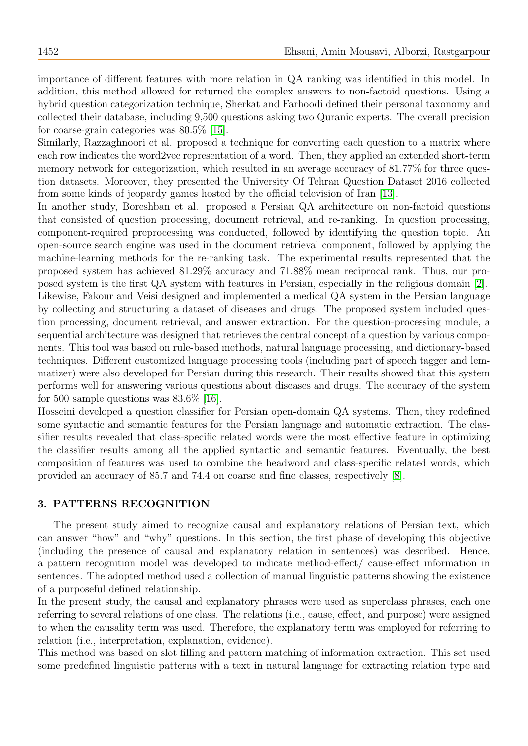importance of different features with more relation in QA ranking was identified in this model. In addition, this method allowed for returned the complex answers to non-factoid questions. Using a hybrid question categorization technique, Sherkat and Farhoodi defined their personal taxonomy and collected their database, including 9,500 questions asking two Quranic experts. The overall precision for coarse-grain categories was 80.5% [\[15\]](#page-19-5).

Similarly, Razzaghnoori et al. proposed a technique for converting each question to a matrix where each row indicates the word2vec representation of a word. Then, they applied an extended short-term memory network for categorization, which resulted in an average accuracy of 81.77% for three question datasets. Moreover, they presented the University Of Tehran Question Dataset 2016 collected from some kinds of jeopardy games hosted by the official television of Iran [\[13\]](#page-19-3).

In another study, Boreshban et al. proposed a Persian QA architecture on non-factoid questions that consisted of question processing, document retrieval, and re-ranking. In question processing, component-required preprocessing was conducted, followed by identifying the question topic. An open-source search engine was used in the document retrieval component, followed by applying the machine-learning methods for the re-ranking task. The experimental results represented that the proposed system has achieved 81.29% accuracy and 71.88% mean reciprocal rank. Thus, our proposed system is the first QA system with features in Persian, especially in the religious domain [\[2\]](#page-18-6). Likewise, Fakour and Veisi designed and implemented a medical QA system in the Persian language by collecting and structuring a dataset of diseases and drugs. The proposed system included question processing, document retrieval, and answer extraction. For the question-processing module, a sequential architecture was designed that retrieves the central concept of a question by various components. This tool was based on rule-based methods, natural language processing, and dictionary-based techniques. Different customized language processing tools (including part of speech tagger and lemmatizer) were also developed for Persian during this research. Their results showed that this system performs well for answering various questions about diseases and drugs. The accuracy of the system for 500 sample questions was 83.6% [\[16\]](#page-19-6).

Hosseini developed a question classifier for Persian open-domain QA systems. Then, they redefined some syntactic and semantic features for the Persian language and automatic extraction. The classifier results revealed that class-specific related words were the most effective feature in optimizing the classifier results among all the applied syntactic and semantic features. Eventually, the best composition of features was used to combine the headword and class-specific related words, which provided an accuracy of 85.7 and 74.4 on coarse and fine classes, respectively [\[8\]](#page-18-7).

#### 3. PATTERNS RECOGNITION

The present study aimed to recognize causal and explanatory relations of Persian text, which can answer "how" and "why" questions. In this section, the first phase of developing this objective (including the presence of causal and explanatory relation in sentences) was described. Hence, a pattern recognition model was developed to indicate method-effect/ cause-effect information in sentences. The adopted method used a collection of manual linguistic patterns showing the existence of a purposeful defined relationship.

In the present study, the causal and explanatory phrases were used as superclass phrases, each one referring to several relations of one class. The relations (i.e., cause, effect, and purpose) were assigned to when the causality term was used. Therefore, the explanatory term was employed for referring to relation (i.e., interpretation, explanation, evidence).

This method was based on slot filling and pattern matching of information extraction. This set used some predefined linguistic patterns with a text in natural language for extracting relation type and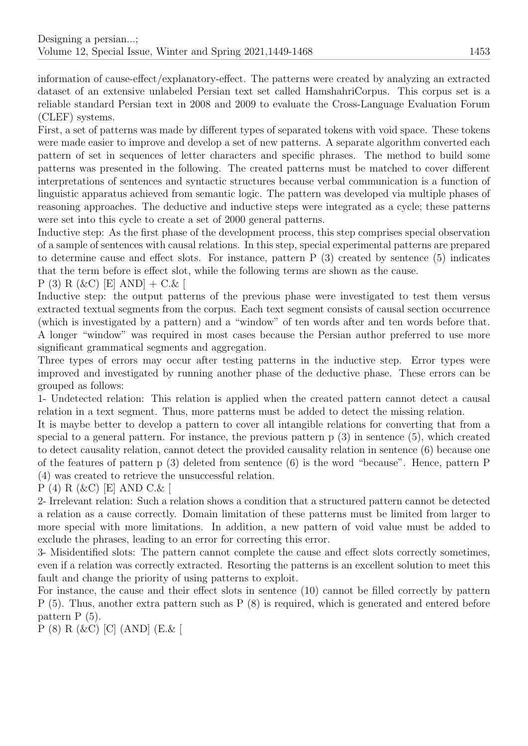information of cause-effect/explanatory-effect. The patterns were created by analyzing an extracted dataset of an extensive unlabeled Persian text set called HamshahriCorpus. This corpus set is a reliable standard Persian text in 2008 and 2009 to evaluate the Cross-Language Evaluation Forum (CLEF) systems.

First, a set of patterns was made by different types of separated tokens with void space. These tokens were made easier to improve and develop a set of new patterns. A separate algorithm converted each pattern of set in sequences of letter characters and specific phrases. The method to build some patterns was presented in the following. The created patterns must be matched to cover different interpretations of sentences and syntactic structures because verbal communication is a function of linguistic apparatus achieved from semantic logic. The pattern was developed via multiple phases of reasoning approaches. The deductive and inductive steps were integrated as a cycle; these patterns were set into this cycle to create a set of 2000 general patterns.

Inductive step: As the first phase of the development process, this step comprises special observation of a sample of sentences with causal relations. In this step, special experimental patterns are prepared to determine cause and effect slots. For instance, pattern P (3) created by sentence (5) indicates that the term before is effect slot, while the following terms are shown as the cause.

 $P(3) R(kC) [E] AND] + C.k$ 

Inductive step: the output patterns of the previous phase were investigated to test them versus extracted textual segments from the corpus. Each text segment consists of causal section occurrence (which is investigated by a pattern) and a "window" of ten words after and ten words before that. A longer "window" was required in most cases because the Persian author preferred to use more significant grammatical segments and aggregation.

Three types of errors may occur after testing patterns in the inductive step. Error types were improved and investigated by running another phase of the deductive phase. These errors can be grouped as follows:

1- Undetected relation: This relation is applied when the created pattern cannot detect a causal relation in a text segment. Thus, more patterns must be added to detect the missing relation.

It is maybe better to develop a pattern to cover all intangible relations for converting that from a special to a general pattern. For instance, the previous pattern p (3) in sentence (5), which created to detect causality relation, cannot detect the provided causality relation in sentence (6) because one of the features of pattern p (3) deleted from sentence (6) is the word "because". Hence, pattern P (4) was created to retrieve the unsuccessful relation.

P (4) R (&C) [E] AND C.& [

2- Irrelevant relation: Such a relation shows a condition that a structured pattern cannot be detected a relation as a cause correctly. Domain limitation of these patterns must be limited from larger to more special with more limitations. In addition, a new pattern of void value must be added to exclude the phrases, leading to an error for correcting this error.

3- Misidentified slots: The pattern cannot complete the cause and effect slots correctly sometimes, even if a relation was correctly extracted. Resorting the patterns is an excellent solution to meet this fault and change the priority of using patterns to exploit.

For instance, the cause and their effect slots in sentence (10) cannot be filled correctly by pattern P (5). Thus, another extra pattern such as P (8) is required, which is generated and entered before pattern P (5).

P (8) R (&C) [C] (AND] (E.& [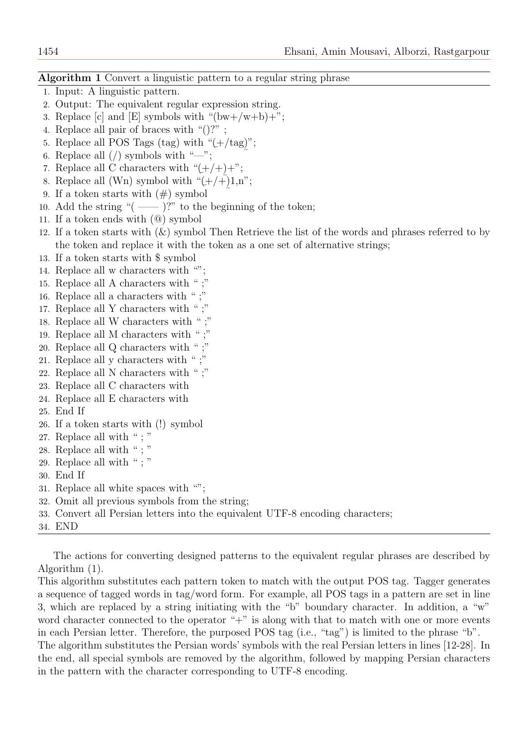#### Algorithm 1 Convert a linguistic pattern to a regular string phrase

- 1. Input: A linguistic pattern.
- 2. Output: The equivalent regular expression string.
- 3. Replace [c] and [E] symbols with " $(bw+/w+b)+$ ";
- 4. Replace all pair of braces with "()?" ;
- 5. Replace all POS Tags (tag) with "(  $\overline{a}$  $\pm$ /tag)";  $\tilde{a}$
- 6. Replace all  $\left(\frac{\ }{\ }$  symbols with "—";
- 7. Replace all C characters with " $(\pm/\pm)+$ ";
- 8. Replace all (Wn) symbol with  $\left( +/+\right) 1,n$ ;  $\overline{a}$
- 9. If a token starts with  $(\#)$  symbol
- 10. Add the string " $($ ——  $)$ ?" to the beginning of the token;
- 11. If a token ends with (@) symbol
- 12. If a token starts with  $(\&)$  symbol Then Retrieve the list of the words and phrases referred to by the token and replace it with the token as a one set of alternative strings;
- 13. If a token starts with \$ symbol
- 14. Replace all w characters with "";
- 15. Replace all A characters with " ;"
- 16. Replace all a characters with " ;"
- 17. Replace all Y characters with " ;"
- 18. Replace all W characters with " ;"
- 19. Replace all M characters with " ;"
- 20. Replace all Q characters with " ;"
- 21. Replace all y characters with " ;"
- 22. Replace all N characters with " ;"
- 23. Replace all C characters with
- 24. Replace all E characters with
- 25. End If
- 26. If a token starts with (!) symbol
- 27. Replace all with " ; "
- 28. Replace all with " ; "
- 29. Replace all with " ; "
- 30. End If
- 31. Replace all white spaces with "";
- 32. Omit all previous symbols from the string;
- 33. Convert all Persian letters into the equivalent UTF-8 encoding characters;
- 34. END

The actions for converting designed patterns to the equivalent regular phrases are described by Algorithm (1).

This algorithm substitutes each pattern token to match with the output POS tag. Tagger generates a sequence of tagged words in tag/word form. For example, all POS tags in a pattern are set in line 3, which are replaced by a string initiating with the "b" boundary character. In addition, a "w" word character connected to the operator " $+$ " is along with that to match with one or more events in each Persian letter. Therefore, the purposed POS tag (i.e., "tag") is limited to the phrase "b".

The algorithm substitutes the Persian words' symbols with the real Persian letters in lines [12-28]. In the end, all special symbols are removed by the algorithm, followed by mapping Persian characters in the pattern with the character corresponding to UTF-8 encoding.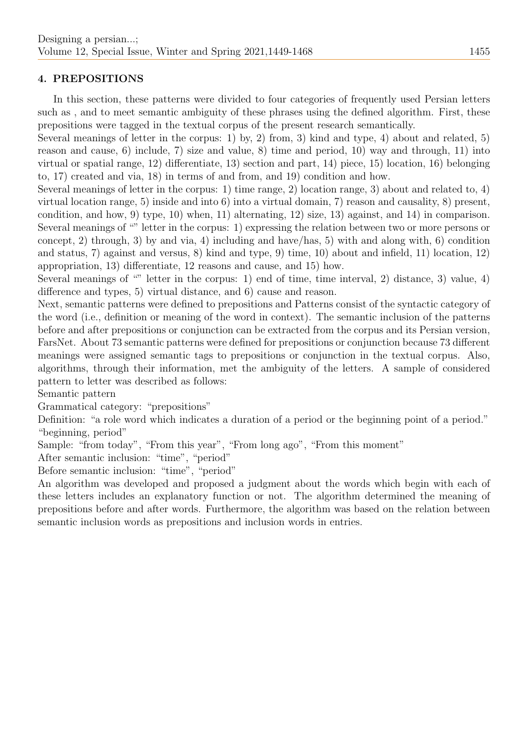## 4. PREPOSITIONS

In this section, these patterns were divided to four categories of frequently used Persian letters such as , and to meet semantic ambiguity of these phrases using the defined algorithm. First, these prepositions were tagged in the textual corpus of the present research semantically.

Several meanings of letter in the corpus: 1) by, 2) from, 3) kind and type, 4) about and related, 5) reason and cause, 6) include, 7) size and value, 8) time and period, 10) way and through, 11) into virtual or spatial range, 12) differentiate, 13) section and part, 14) piece, 15) location, 16) belonging to, 17) created and via, 18) in terms of and from, and 19) condition and how.

Several meanings of letter in the corpus: 1) time range, 2) location range, 3) about and related to, 4) virtual location range, 5) inside and into 6) into a virtual domain, 7) reason and causality, 8) present, condition, and how, 9) type, 10) when, 11) alternating, 12) size, 13) against, and 14) in comparison. Several meanings of "" letter in the corpus: 1) expressing the relation between two or more persons or concept, 2) through, 3) by and via, 4) including and have/has, 5) with and along with, 6) condition and status, 7) against and versus, 8) kind and type, 9) time, 10) about and infield, 11) location, 12) appropriation, 13) differentiate, 12 reasons and cause, and 15) how.

Several meanings of "" letter in the corpus: 1) end of time, time interval, 2) distance, 3) value, 4) difference and types, 5) virtual distance, and 6) cause and reason.

Next, semantic patterns were defined to prepositions and Patterns consist of the syntactic category of the word (i.e., definition or meaning of the word in context). The semantic inclusion of the patterns before and after prepositions or conjunction can be extracted from the corpus and its Persian version, FarsNet. About 73 semantic patterns were defined for prepositions or conjunction because 73 different meanings were assigned semantic tags to prepositions or conjunction in the textual corpus. Also, algorithms, through their information, met the ambiguity of the letters. A sample of considered pattern to letter was described as follows:

Semantic pattern

Grammatical category: "prepositions"

Definition: "a role word which indicates a duration of a period or the beginning point of a period." "beginning, period"

Sample: "from today", "From this year", "From long ago", "From this moment"

After semantic inclusion: "time", "period"

Before semantic inclusion: "time", "period"

An algorithm was developed and proposed a judgment about the words which begin with each of these letters includes an explanatory function or not. The algorithm determined the meaning of prepositions before and after words. Furthermore, the algorithm was based on the relation between semantic inclusion words as prepositions and inclusion words in entries.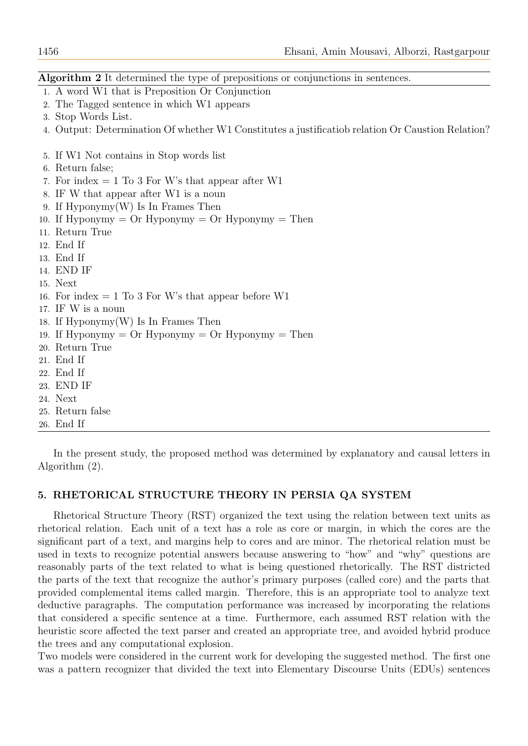Algorithm 2 It determined the type of prepositions or conjunctions in sentences.

- 1. A word W1 that is Preposition Or Conjunction
- 2. The Tagged sentence in which W1 appears
- 3. Stop Words List.
- 4. Output: Determination Of whether W1 Constitutes a justificatiob relation Or Caustion Relation?
- 5. If W1 Not contains in Stop words list
- 6. Return false;
- 7. For index  $= 1$  To 3 For W's that appear after W1
- 8. IF W that appear after W1 is a noun
- 9. If Hyponymy(W) Is In Frames Then
- 10. If Hyponymy  $=$  Or Hyponymy  $=$  Or Hyponymy  $=$  Then
- 11. Return True
- 12. End If
- 13. End If
- 14. END IF
- 15. Next
- 16. For index  $= 1$  To 3 For W's that appear before W1
- 17. IF W is a noun
- 18. If Hyponymy(W) Is In Frames Then
- 19. If Hyponymy  $=$  Or Hyponymy  $=$  Or Hyponymy  $=$  Then
- 20. Return True
- 21. End If
- 22. End If
- 23. END IF
- 24. Next
- 25. Return false
- 26. End If

In the present study, the proposed method was determined by explanatory and causal letters in Algorithm (2).

#### 5. RHETORICAL STRUCTURE THEORY IN PERSIA QA SYSTEM

Rhetorical Structure Theory (RST) organized the text using the relation between text units as rhetorical relation. Each unit of a text has a role as core or margin, in which the cores are the significant part of a text, and margins help to cores and are minor. The rhetorical relation must be used in texts to recognize potential answers because answering to "how" and "why" questions are reasonably parts of the text related to what is being questioned rhetorically. The RST districted the parts of the text that recognize the author's primary purposes (called core) and the parts that provided complemental items called margin. Therefore, this is an appropriate tool to analyze text deductive paragraphs. The computation performance was increased by incorporating the relations that considered a specific sentence at a time. Furthermore, each assumed RST relation with the heuristic score affected the text parser and created an appropriate tree, and avoided hybrid produce the trees and any computational explosion.

Two models were considered in the current work for developing the suggested method. The first one was a pattern recognizer that divided the text into Elementary Discourse Units (EDUs) sentences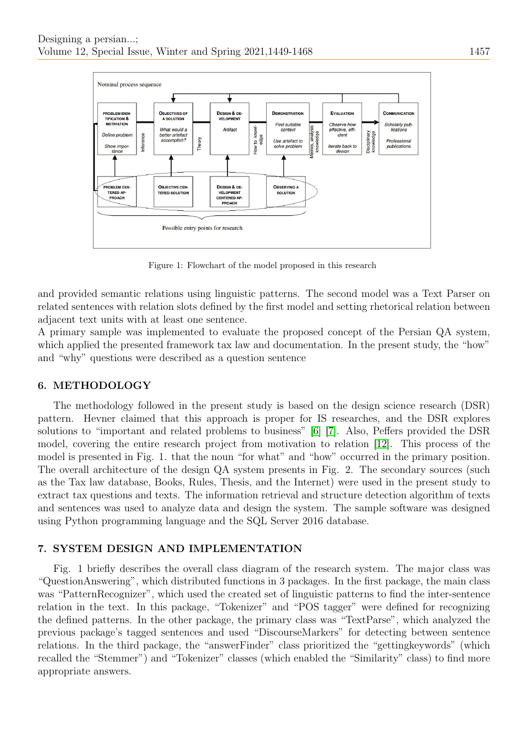

Figure 1: Flowchart of the model proposed in this research

and provided semantic relations using linguistic patterns. The second model was a Text Parser on related sentences with relation slots defined by the first model and setting rhetorical relation between adjacent text units with at least one sentence.

A primary sample was implemented to evaluate the proposed concept of the Persian QA system, which applied the presented framework tax law and documentation. In the present study, the "how" and "why" questions were described as a question sentence

### 6. METHODOLOGY

The methodology followed in the present study is based on the design science research (DSR) pattern. Hevner claimed that this approach is proper for IS researches, and the DSR explores solutions to "important and related problems to business" [\[6\]](#page-18-8) [\[7\]](#page-18-9). Also, Peffers provided the DSR model, covering the entire research project from motivation to relation [\[12\]](#page-19-7). This process of the model is presented in Fig. 1. that the noun "for what" and "how" occurred in the primary position. The overall architecture of the design QA system presents in Fig. 2. The secondary sources (such as the Tax law database, Books, Rules, Thesis, and the Internet) were used in the present study to extract tax questions and texts. The information retrieval and structure detection algorithm of texts and sentences was used to analyze data and design the system. The sample software was designed using Python programming language and the SQL Server 2016 database.

#### 7. SYSTEM DESIGN AND IMPLEMENTATION

Fig. 1 briefly describes the overall class diagram of the research system. The major class was "QuestionAnswering", which distributed functions in 3 packages. In the first package, the main class was "PatternRecognizer", which used the created set of linguistic patterns to find the inter-sentence relation in the text. In this package, "Tokenizer" and "POS tagger" were defined for recognizing the defined patterns. In the other package, the primary class was "TextParse", which analyzed the previous package's tagged sentences and used "DiscourseMarkers" for detecting between sentence relations. In the third package, the "answerFinder" class prioritized the "gettingkeywords" (which recalled the "Stemmer") and "Tokenizer" classes (which enabled the "Similarity" class) to find more appropriate answers.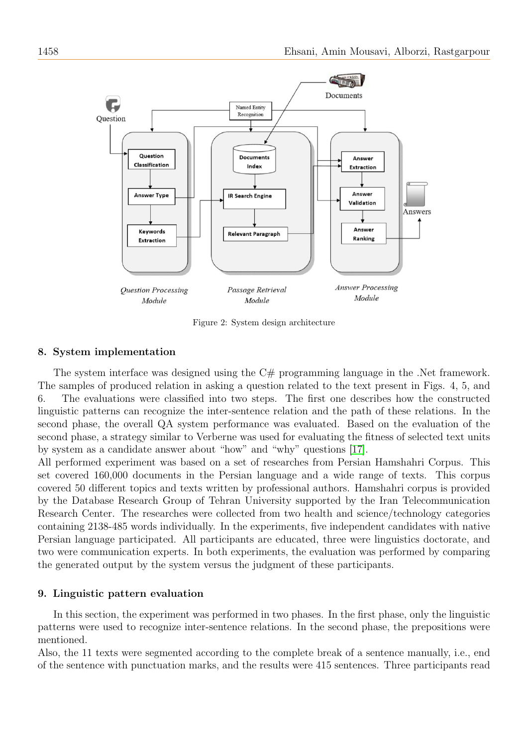

Figure 2: System design architecture

#### 8. System implementation

The system interface was designed using the C# programming language in the .Net framework. The samples of produced relation in asking a question related to the text present in Figs. 4, 5, and 6. The evaluations were classified into two steps. The first one describes how the constructed linguistic patterns can recognize the inter-sentence relation and the path of these relations. In the second phase, the overall QA system performance was evaluated. Based on the evaluation of the second phase, a strategy similar to Verberne was used for evaluating the fitness of selected text units by system as a candidate answer about "how" and "why" questions [\[17\]](#page-19-8).

All performed experiment was based on a set of researches from Persian Hamshahri Corpus. This set covered 160,000 documents in the Persian language and a wide range of texts. This corpus covered 50 different topics and texts written by professional authors. Hamshahri corpus is provided by the Database Research Group of Tehran University supported by the Iran Telecommunication Research Center. The researches were collected from two health and science/technology categories containing 2138-485 words individually. In the experiments, five independent candidates with native Persian language participated. All participants are educated, three were linguistics doctorate, and two were communication experts. In both experiments, the evaluation was performed by comparing the generated output by the system versus the judgment of these participants.

#### 9. Linguistic pattern evaluation

In this section, the experiment was performed in two phases. In the first phase, only the linguistic patterns were used to recognize inter-sentence relations. In the second phase, the prepositions were mentioned.

Also, the 11 texts were segmented according to the complete break of a sentence manually, i.e., end of the sentence with punctuation marks, and the results were 415 sentences. Three participants read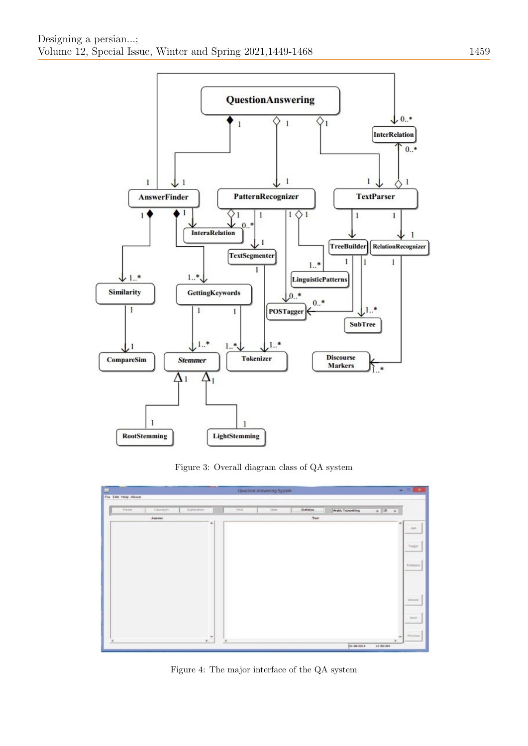

Figure 3: Overall diagram class of QA system



Figure 4: The major interface of the QA system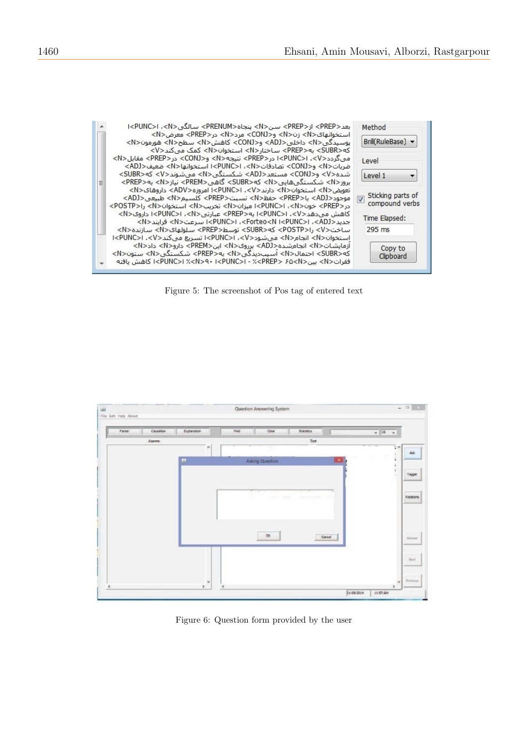|   | بعد <prep> از<prep> سن<n> ينحاه<prenum> سالگی <np> ا<br/>استخوانهای<n> زن<n> و<conj> مرد<n> در<prep> معرض<n><br/>یوسیدگی<n> داخلی<adj> و<conj> کاهش<n> سطح<n> هورمون<n><br/>که<subr> به<prep> ساختار<n> استخوان<n> کمک می کند<v></v></n></n></prep></subr></n></n></n></conj></adj></n></n></prep></n></conj></n></n></np></prenum></n></prep></prep>                                                                                                                                                   | Method<br>Brill(RuleBase) $\blacktriangledown$                         |
|---|---------------------------------------------------------------------------------------------------------------------------------------------------------------------------------------------------------------------------------------------------------------------------------------------------------------------------------------------------------------------------------------------------------------------------------------------------------------------------------------------------------|------------------------------------------------------------------------|
| Ξ | می گردد <v>.  <punc>! در<rep> نتیجه<n> مجالات = {\displays}} &lt; مقابل <n><br/>ضربات<n> و<conj> تصادفات<n>، ا<punc>ا استخوانها<n> ضعيف<adj><br/>شدہ<v> و<conj> مستعد<adj> شکستگی<n> میشوند<v> که<subr><br/>بروز<n> شکستگی@ایی<n> که<subr> گاهی<prem> نیاز<n> به<prep></prep></n></prem></subr></n></n></subr></v></n></adj></conj></v></adj></n></punc></n></conj></n></n></n></rep></punc></v>                                                                                                        | Level<br>Level 1<br>▼                                                  |
|   | تعویض <n> استخوان<n> دارند<v>. k&gt;UNC&gt;۱ امروزه<adv> داروهای<n><br/>موجود<adj> با<prep> حفظ<n> نسبت<prep> كلسيم<n> طبيعى<adj><br/>در<prep> خون<n>، ا<punc> ميزان<n> تخريب<n> استخوان<n> &gt;&gt;&gt;&gt;<br/>کاهش می<code>cV&gt;s]surv</code> او <n> به<prep> عبارتی<n>، ا<punc>ا داروی<n><br/>جدید<n> اسرعت<n> ا<punc>، احداد<forteo<n احداد="">، احداد</forteo<n></punc></n></n></n></punc></n></prep></n></n></n></n></punc></n></prep></adj></n></prep></n></prep></adj></n></adv></v></n></n>  | Sticking parts of<br>$\overline{v}$<br>compound verbs<br>Time Elapsed: |
|   | ساخت <v> را<postp> كه<subr> توسط<prep> سلولهاى<n> سازنده<n><br/>استخوان<n> انحام<n> من شود<v>. ا<punc> تسريع ميكند<v>. ا<nunc> ا<br/>آزمایشـات<n> انجامشـده<adj> برروی<n> این<prem> دارو<n> داد<n><br/>که<subr> احتمال<n> آسیب،دیدگی<n> به<prep> شکستگی<n> ستون<n><br/>فقرات<n> سن<n> × (<punc>I ، الحكر <punc>I - ½<prep> &gt; حسن  كاهش بافته</prep></punc></punc></n></n></n></n></prep></n></n></subr></n></n></prem></n></adj></n></nunc></v></punc></v></n></n></n></n></prep></subr></postp></v> | 295 ms<br>Copy to<br>Clipboard                                         |

Figure 5: The screenshot of Pos tag of entered text



Figure 6: Question form provided by the user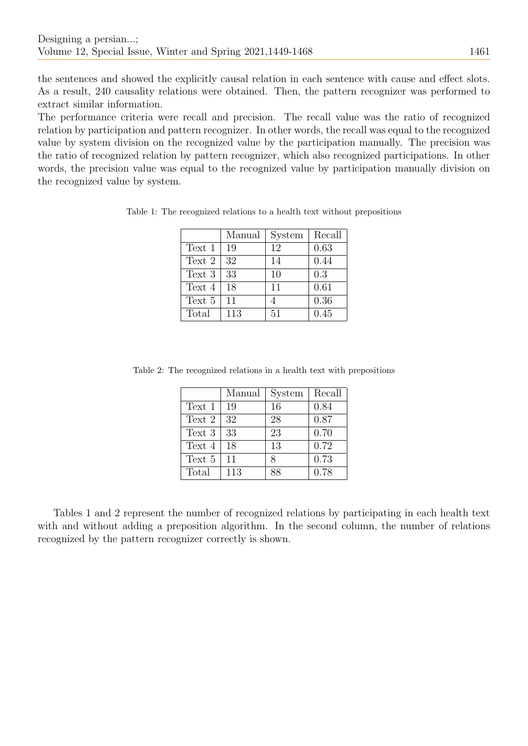the sentences and showed the explicitly causal relation in each sentence with cause and effect slots. As a result, 240 causality relations were obtained. Then, the pattern recognizer was performed to extract similar information.

The performance criteria were recall and precision. The recall value was the ratio of recognized relation by participation and pattern recognizer. In other words, the recall was equal to the recognized value by system division on the recognized value by the participation manually. The precision was the ratio of recognized relation by pattern recognizer, which also recognized participations. In other words, the precision value was equal to the recognized value by participation manually division on the recognized value by system.

|        | Manual | System | Recall |
|--------|--------|--------|--------|
| Text 1 | 19     | 12     | 0.63   |
| Text 2 | 32     | 14     | 0.44   |
| Text 3 | 33     | 10     | 0.3    |
| Text 4 | 18     | 11     | 0.61   |
| Text 5 | 11     | 4      | 0.36   |
| Total  | 113    | 51     | 0.45   |

Table 1: The recognized relations to a health text without prepositions

Table 2: The recognized relations in a health text with prepositions

|        | Manual | System | Recall |
|--------|--------|--------|--------|
| Text 1 | 19     | 16     | 0.84   |
| Text 2 | 32     | 28     | 0.87   |
| Text 3 | 33     | 23     | 0.70   |
| Text 4 | 18     | 13     | 0.72   |
| Text 5 | 11     | 8      | 0.73   |
| Total  | 113    | 88     | 0.78   |

Tables 1 and 2 represent the number of recognized relations by participating in each health text with and without adding a preposition algorithm. In the second column, the number of relations recognized by the pattern recognizer correctly is shown.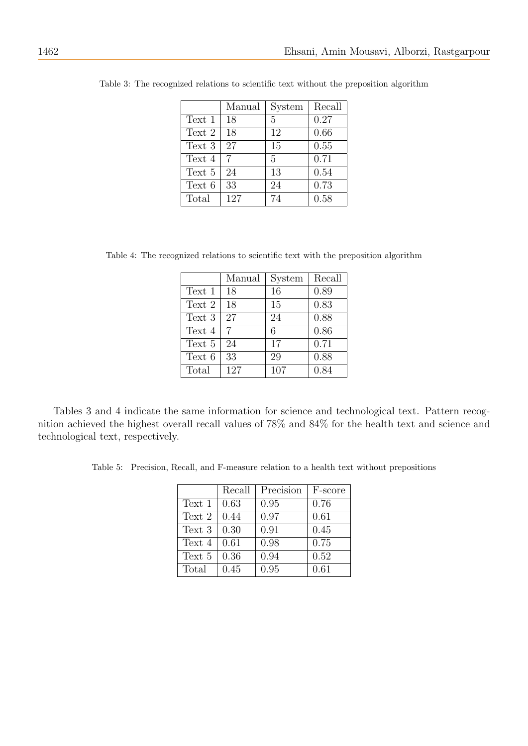|        | Manual | System | Recall |
|--------|--------|--------|--------|
| Text 1 | 18     | 5      | 0.27   |
| Text 2 | 18     | 12     | 0.66   |
| Text 3 | 27     | 15     | 0.55   |
| Text 4 | 7      | 5      | 0.71   |
| Text 5 | 24     | 13     | 0.54   |
| Text 6 | 33     | 24     | 0.73   |
| Total  | 127    | 74     | 0.58   |

Table 3: The recognized relations to scientific text without the preposition algorithm

Table 4: The recognized relations to scientific text with the preposition algorithm

|        | Manual | System | Recall |
|--------|--------|--------|--------|
| Text 1 | 18     | 16     | 0.89   |
| Text 2 | 18     | 15     | 0.83   |
| Text 3 | 27     | 24     | 0.88   |
| Text 4 | 7      | 6      | 0.86   |
| Text 5 | 24     | 17     | 0.71   |
| Text 6 | 33     | 29     | 0.88   |
| Total  | 127    | 107    | 0.84   |

Tables 3 and 4 indicate the same information for science and technological text. Pattern recognition achieved the highest overall recall values of 78% and 84% for the health text and science and technological text, respectively.

Table 5: Precision, Recall, and F-measure relation to a health text without prepositions

|        | Recall | Precision | F-score |
|--------|--------|-----------|---------|
| Text 1 | 0.63   | 0.95      | 0.76    |
| Text 2 | 0.44   | 0.97      | 0.61    |
| Text 3 | 0.30   | 0.91      | 0.45    |
| Text 4 | 0.61   | 0.98      | 0.75    |
| Text 5 | 0.36   | 0.94      | 0.52    |
| Total  | 0.45   | 0.95      | 0.61    |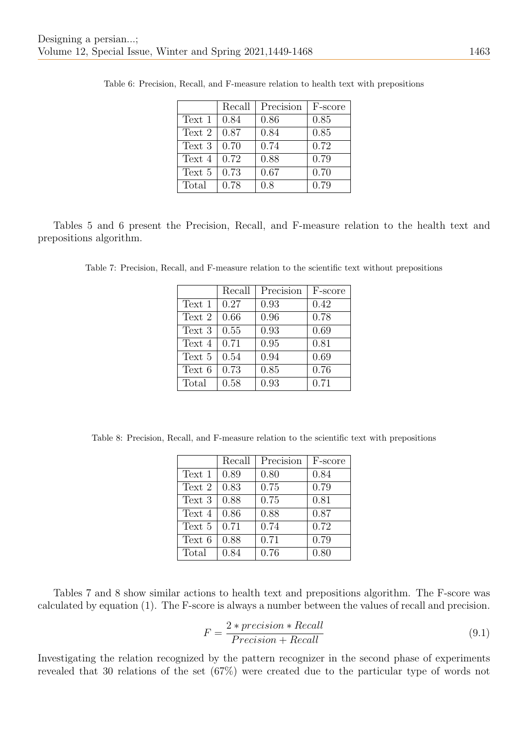|        | Recall | Precision | F-score |
|--------|--------|-----------|---------|
| Text 1 | 0.84   | 0.86      | 0.85    |
| Text 2 | 0.87   | 0.84      | 0.85    |
| Text 3 | 0.70   | 0.74      | 0.72    |
| Text 4 | 0.72   | 0.88      | 0.79    |
| Text 5 | 0.73   | 0.67      | 0.70    |
| Total  | 0.78   | 0.8       | 0.79    |

Table 6: Precision, Recall, and F-measure relation to health text with prepositions

Tables 5 and 6 present the Precision, Recall, and F-measure relation to the health text and prepositions algorithm.

Table 7: Precision, Recall, and F-measure relation to the scientific text without prepositions

|        | Recall | Precision | F-score |
|--------|--------|-----------|---------|
| Text 1 | 0.27   | 0.93      | 0.42    |
| Text 2 | 0.66   | 0.96      | 0.78    |
| Text 3 | 0.55   | 0.93      | 0.69    |
| Text 4 | 0.71   | 0.95      | 0.81    |
| Text 5 | 0.54   | 0.94      | 0.69    |
| Text 6 | 0.73   | 0.85      | 0.76    |
| Total  | 0.58   | 0.93      | 0.71    |

Table 8: Precision, Recall, and F-measure relation to the scientific text with prepositions

|        | Recall | Precision | F-score |
|--------|--------|-----------|---------|
| Text 1 | 0.89   | 0.80      | 0.84    |
| Text 2 | 0.83   | 0.75      | 0.79    |
| Text 3 | 0.88   | 0.75      | 0.81    |
| Text 4 | 0.86   | 0.88      | 0.87    |
| Text 5 | 0.71   | 0.74      | 0.72    |
| Text 6 | 0.88   | 0.71      | 0.79    |
| Total  | 0.84   | 0.76      | 0.80    |

Tables 7 and 8 show similar actions to health text and prepositions algorithm. The F-score was calculated by equation (1). The F-score is always a number between the values of recall and precision.

$$
F = \frac{2 * precision * Recall}{Precision + Recall}
$$
\n(9.1)

Investigating the relation recognized by the pattern recognizer in the second phase of experiments revealed that 30 relations of the set (67%) were created due to the particular type of words not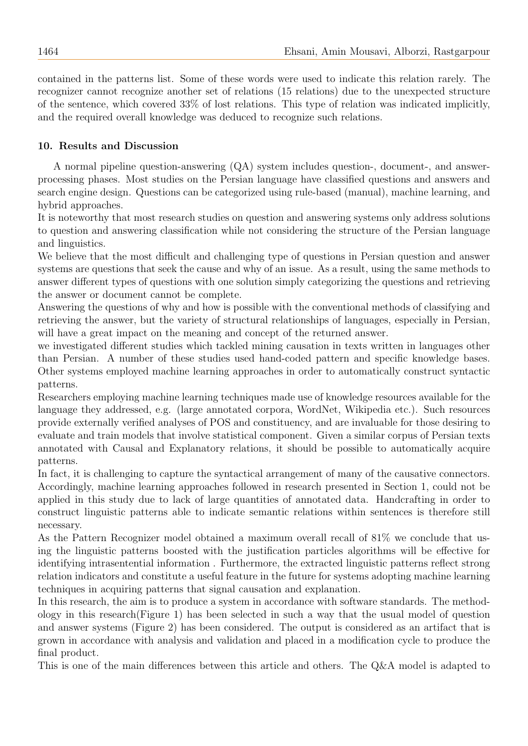contained in the patterns list. Some of these words were used to indicate this relation rarely. The recognizer cannot recognize another set of relations (15 relations) due to the unexpected structure of the sentence, which covered 33% of lost relations. This type of relation was indicated implicitly, and the required overall knowledge was deduced to recognize such relations.

## 10. Results and Discussion

A normal pipeline question-answering (QA) system includes question-, document-, and answerprocessing phases. Most studies on the Persian language have classified questions and answers and search engine design. Questions can be categorized using rule-based (manual), machine learning, and hybrid approaches.

It is noteworthy that most research studies on question and answering systems only address solutions to question and answering classification while not considering the structure of the Persian language and linguistics.

We believe that the most difficult and challenging type of questions in Persian question and answer systems are questions that seek the cause and why of an issue. As a result, using the same methods to answer different types of questions with one solution simply categorizing the questions and retrieving the answer or document cannot be complete.

Answering the questions of why and how is possible with the conventional methods of classifying and retrieving the answer, but the variety of structural relationships of languages, especially in Persian, will have a great impact on the meaning and concept of the returned answer.

we investigated different studies which tackled mining causation in texts written in languages other than Persian. A number of these studies used hand-coded pattern and specific knowledge bases. Other systems employed machine learning approaches in order to automatically construct syntactic patterns.

Researchers employing machine learning techniques made use of knowledge resources available for the language they addressed, e.g. (large annotated corpora, WordNet, Wikipedia etc.). Such resources provide externally verified analyses of POS and constituency, and are invaluable for those desiring to evaluate and train models that involve statistical component. Given a similar corpus of Persian texts annotated with Causal and Explanatory relations, it should be possible to automatically acquire patterns.

In fact, it is challenging to capture the syntactical arrangement of many of the causative connectors. Accordingly, machine learning approaches followed in research presented in Section 1, could not be applied in this study due to lack of large quantities of annotated data. Handcrafting in order to construct linguistic patterns able to indicate semantic relations within sentences is therefore still necessary.

As the Pattern Recognizer model obtained a maximum overall recall of 81% we conclude that using the linguistic patterns boosted with the justification particles algorithms will be effective for identifying intrasentential information . Furthermore, the extracted linguistic patterns reflect strong relation indicators and constitute a useful feature in the future for systems adopting machine learning techniques in acquiring patterns that signal causation and explanation.

In this research, the aim is to produce a system in accordance with software standards. The methodology in this research(Figure 1) has been selected in such a way that the usual model of question and answer systems (Figure 2) has been considered. The output is considered as an artifact that is grown in accordance with analysis and validation and placed in a modification cycle to produce the final product.

This is one of the main differences between this article and others. The Q&A model is adapted to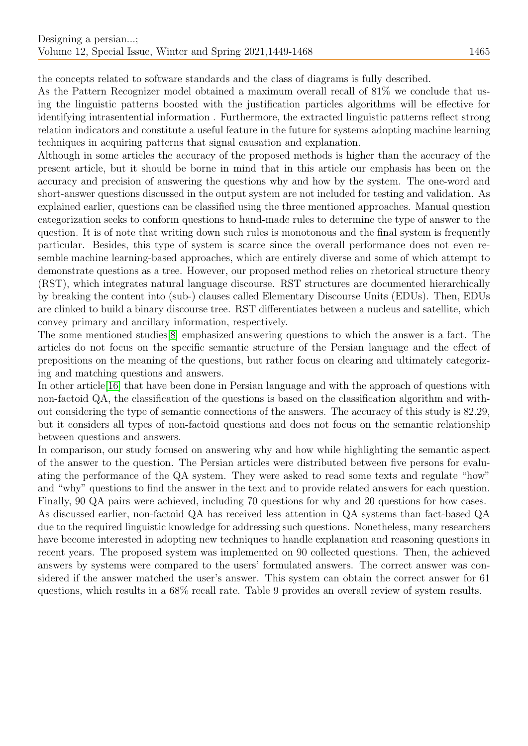the concepts related to software standards and the class of diagrams is fully described.

As the Pattern Recognizer model obtained a maximum overall recall of 81% we conclude that using the linguistic patterns boosted with the justification particles algorithms will be effective for identifying intrasentential information . Furthermore, the extracted linguistic patterns reflect strong relation indicators and constitute a useful feature in the future for systems adopting machine learning techniques in acquiring patterns that signal causation and explanation.

Although in some articles the accuracy of the proposed methods is higher than the accuracy of the present article, but it should be borne in mind that in this article our emphasis has been on the accuracy and precision of answering the questions why and how by the system. The one-word and short-answer questions discussed in the output system are not included for testing and validation. As explained earlier, questions can be classified using the three mentioned approaches. Manual question categorization seeks to conform questions to hand-made rules to determine the type of answer to the question. It is of note that writing down such rules is monotonous and the final system is frequently particular. Besides, this type of system is scarce since the overall performance does not even resemble machine learning-based approaches, which are entirely diverse and some of which attempt to demonstrate questions as a tree. However, our proposed method relies on rhetorical structure theory (RST), which integrates natural language discourse. RST structures are documented hierarchically by breaking the content into (sub-) clauses called Elementary Discourse Units (EDUs). Then, EDUs are clinked to build a binary discourse tree. RST differentiates between a nucleus and satellite, which convey primary and ancillary information, respectively.

The some mentioned studies[\[8\]](#page-18-7) emphasized answering questions to which the answer is a fact. The articles do not focus on the specific semantic structure of the Persian language and the effect of prepositions on the meaning of the questions, but rather focus on clearing and ultimately categorizing and matching questions and answers.

In other article[\[16\]](#page-19-6) that have been done in Persian language and with the approach of questions with non-factoid QA, the classification of the questions is based on the classification algorithm and without considering the type of semantic connections of the answers. The accuracy of this study is 82.29, but it considers all types of non-factoid questions and does not focus on the semantic relationship between questions and answers.

In comparison, our study focused on answering why and how while highlighting the semantic aspect of the answer to the question. The Persian articles were distributed between five persons for evaluating the performance of the QA system. They were asked to read some texts and regulate "how" and "why" questions to find the answer in the text and to provide related answers for each question. Finally, 90 QA pairs were achieved, including 70 questions for why and 20 questions for how cases. As discussed earlier, non-factoid QA has received less attention in QA systems than fact-based QA due to the required linguistic knowledge for addressing such questions. Nonetheless, many researchers have become interested in adopting new techniques to handle explanation and reasoning questions in recent years. The proposed system was implemented on 90 collected questions. Then, the achieved answers by systems were compared to the users' formulated answers. The correct answer was considered if the answer matched the user's answer. This system can obtain the correct answer for 61 questions, which results in a 68% recall rate. Table 9 provides an overall review of system results.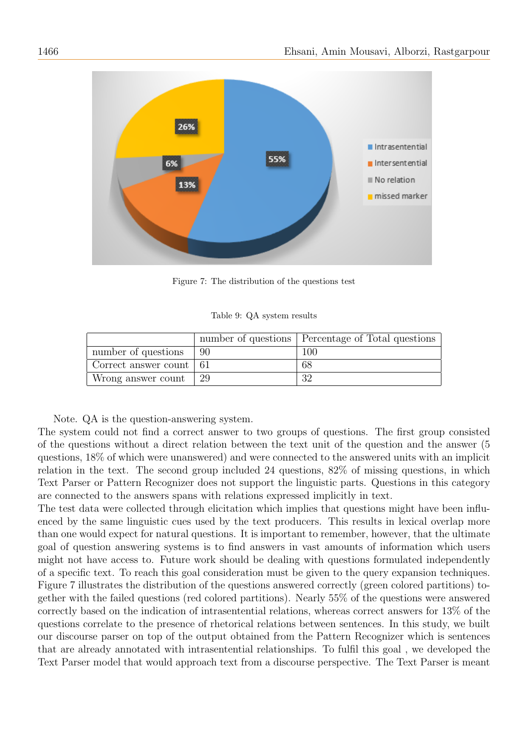

Figure 7: The distribution of the questions test

Table 9: QA system results

|                           |     | number of questions   Percentage of Total questions |
|---------------------------|-----|-----------------------------------------------------|
| number of questions       | -90 | 100                                                 |
| Correct answer count   61 |     | 68                                                  |
| Wrong answer count        | -29 | 32                                                  |

Note. QA is the question-answering system.

The system could not find a correct answer to two groups of questions. The first group consisted of the questions without a direct relation between the text unit of the question and the answer (5 questions, 18% of which were unanswered) and were connected to the answered units with an implicit relation in the text. The second group included 24 questions, 82% of missing questions, in which Text Parser or Pattern Recognizer does not support the linguistic parts. Questions in this category are connected to the answers spans with relations expressed implicitly in text.

The test data were collected through elicitation which implies that questions might have been influenced by the same linguistic cues used by the text producers. This results in lexical overlap more than one would expect for natural questions. It is important to remember, however, that the ultimate goal of question answering systems is to find answers in vast amounts of information which users might not have access to. Future work should be dealing with questions formulated independently of a specific text. To reach this goal consideration must be given to the query expansion techniques. Figure 7 illustrates the distribution of the questions answered correctly (green colored partitions) together with the failed questions (red colored partitions). Nearly 55% of the questions were answered correctly based on the indication of intrasentential relations, whereas correct answers for 13% of the questions correlate to the presence of rhetorical relations between sentences. In this study, we built our discourse parser on top of the output obtained from the Pattern Recognizer which is sentences that are already annotated with intrasentential relationships. To fulfil this goal , we developed the Text Parser model that would approach text from a discourse perspective. The Text Parser is meant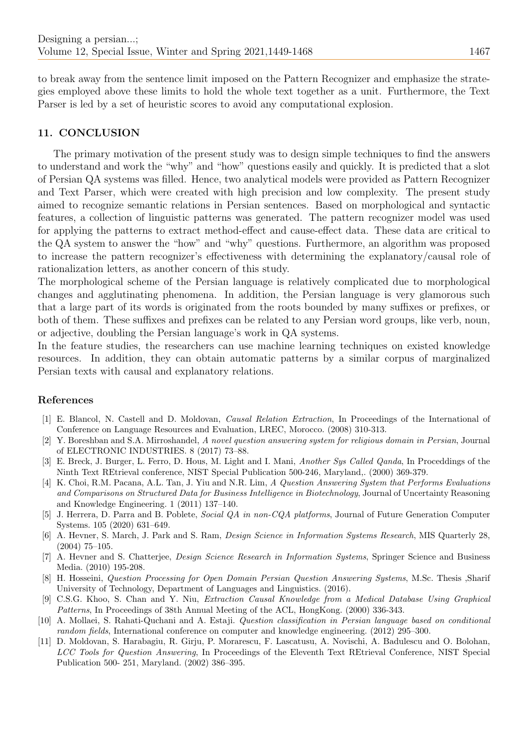to break away from the sentence limit imposed on the Pattern Recognizer and emphasize the strategies employed above these limits to hold the whole text together as a unit. Furthermore, the Text Parser is led by a set of heuristic scores to avoid any computational explosion.

## 11. CONCLUSION

The primary motivation of the present study was to design simple techniques to find the answers to understand and work the "why" and "how" questions easily and quickly. It is predicted that a slot of Persian QA systems was filled. Hence, two analytical models were provided as Pattern Recognizer and Text Parser, which were created with high precision and low complexity. The present study aimed to recognize semantic relations in Persian sentences. Based on morphological and syntactic features, a collection of linguistic patterns was generated. The pattern recognizer model was used for applying the patterns to extract method-effect and cause-effect data. These data are critical to the QA system to answer the "how" and "why" questions. Furthermore, an algorithm was proposed to increase the pattern recognizer's effectiveness with determining the explanatory/causal role of rationalization letters, as another concern of this study.

The morphological scheme of the Persian language is relatively complicated due to morphological changes and agglutinating phenomena. In addition, the Persian language is very glamorous such that a large part of its words is originated from the roots bounded by many suffixes or prefixes, or both of them. These suffixes and prefixes can be related to any Persian word groups, like verb, noun, or adjective, doubling the Persian language's work in QA systems.

In the feature studies, the researchers can use machine learning techniques on existed knowledge resources. In addition, they can obtain automatic patterns by a similar corpus of marginalized Persian texts with causal and explanatory relations.

#### References

- <span id="page-18-5"></span>[1] E. Blancol, N. Castell and D. Moldovan, Causal Relation Extraction, In Proceedings of the International of Conference on Language Resources and Evaluation, LREC, Morocco. (2008) 310-313.
- <span id="page-18-6"></span>[2] Y. Boreshban and S.A. Mirroshandel, A novel question answering system for religious domain in Persian, Journal of ELECTRONIC INDUSTRIES. 8 (2017) 73–88.
- <span id="page-18-2"></span>[3] E. Breck, J. Burger, L. Ferro, D. Hous, M. Light and I. Mani, Another Sys Called Qanda, In Proceddings of the Ninth Text REtrieval conference, NIST Special Publication 500-246, Maryland,. (2000) 369-379.
- <span id="page-18-0"></span>[4] K. Choi, R.M. Pacana, A.L. Tan, J. Yiu and N.R. Lim, A Question Answering System that Performs Evaluations and Comparisons on Structured Data for Business Intelligence in Biotechnology, Journal of Uncertainty Reasoning and Knowledge Engineering. 1 (2011) 137–140.
- <span id="page-18-1"></span>[5] J. Herrera, D. Parra and B. Poblete, Social QA in non-CQA platforms, Journal of Future Generation Computer Systems. 105 (2020) 631–649.
- <span id="page-18-8"></span>[6] A. Hevner, S. March, J. Park and S. Ram, Design Science in Information Systems Research, MIS Quarterly 28, (2004) 75–105.
- <span id="page-18-9"></span>[7] A. Hevner and S. Chatterjee, Design Science Research in Information Systems, Springer Science and Business Media. (2010) 195-208.
- <span id="page-18-7"></span>[8] H. Hosseini, Question Processing for Open Domain Persian Question Answering Systems, M.Sc. Thesis ,Sharif University of Technology, Department of Languages and Linguistics. (2016).
- <span id="page-18-3"></span>[9] C.S.G. Khoo, S. Chan and Y. Niu, Extraction Causal Knowledge from a Medical Database Using Graphical Patterns, In Proceedings of 38th Annual Meeting of the ACL, HongKong. (2000) 336-343.
- [10] A. Mollaei, S. Rahati-Quchani and A. Estaji. Question classification in Persian language based on conditional random fields, International conference on computer and knowledge engineering. (2012) 295–300.
- <span id="page-18-4"></span>[11] D. Moldovan, S. Harabagiu, R. Girju, P. Morarescu, F. Lascatusu, A. Novischi, A. Badulescu and O. Bolohan, LCC Tools for Question Answering, In Proceedings of the Eleventh Text REtrieval Conference, NIST Special Publication 500- 251, Maryland. (2002) 386–395.